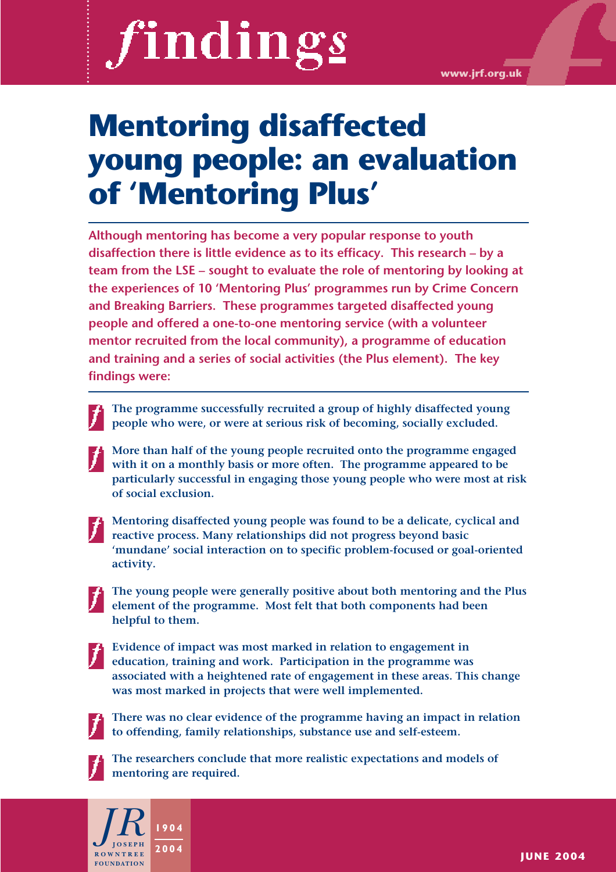# findings

# **Mentoring disaffected young people: an evaluation of 'Mentoring Plus'**

**Although mentoring has become a very popular response to youth disaffection there is little evidence as to its efficacy. This research – by a team from the LSE – sought to evaluate the role of mentoring by looking at the experiences of 10 'Mentoring Plus' programmes run by Crime Concern and Breaking Barriers. These programmes targeted disaffected young people and offered a one-to-one mentoring service (with a volunteer mentor recruited from the local community), a programme of education and training and a series of social activities (the Plus element). The key findings were:** 

**The programme successfully recruited a group of highly disaffected young people who were, or were at serious risk of becoming, socially excluded.** 

**More than half of the young people recruited onto the programme engaged with it on a monthly basis or more often. The programme appeared to be particularly successful in engaging those young people who were most at risk of social exclusion.**

**Mentoring disaffected young people was found to be a delicate, cyclical and reactive process. Many relationships did not progress beyond basic 'mundane' social interaction on to specific problem-focused or goal-oriented activity.** 

**The young people were generally positive about both mentoring and the Plus element of the programme. Most felt that both components had been helpful to them.**

**Evidence of impact was most marked in relation to engagement in education, training and work. Participation in the programme was associated with a heightened rate of engagement in these areas. This change was most marked in projects that were well implemented.**



**There was no clear evidence of the programme having an impact in relation to offending, family relationships, substance use and self-esteem.** 



**The researchers conclude that more realistic expectations and models of mentoring are required.**

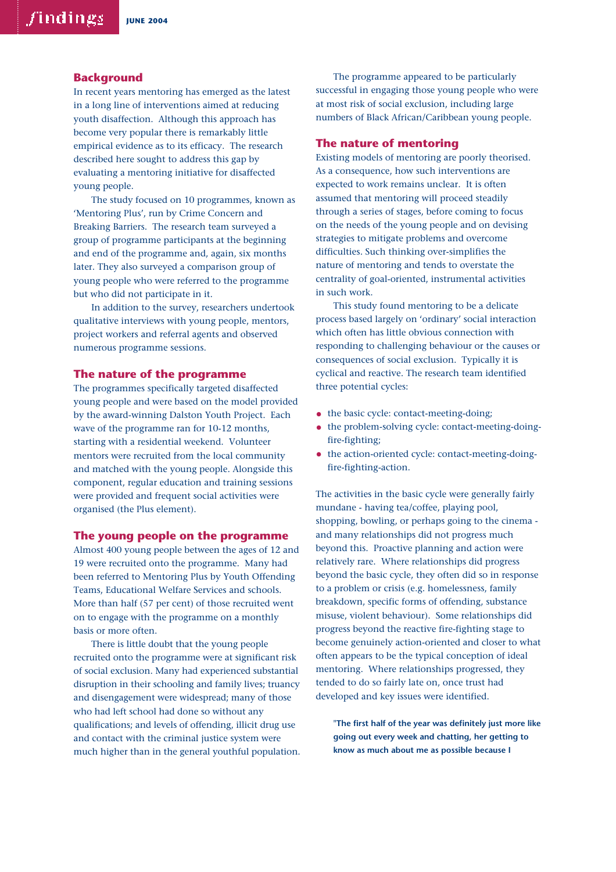### **Background**

In recent years mentoring has emerged as the latest in a long line of interventions aimed at reducing youth disaffection. Although this approach has become very popular there is remarkably little empirical evidence as to its efficacy. The research described here sought to address this gap by evaluating a mentoring initiative for disaffected young people.

The study focused on 10 programmes, known as 'Mentoring Plus', run by Crime Concern and Breaking Barriers. The research team surveyed a group of programme participants at the beginning and end of the programme and, again, six months later. They also surveyed a comparison group of young people who were referred to the programme but who did not participate in it.

In addition to the survey, researchers undertook qualitative interviews with young people, mentors, project workers and referral agents and observed numerous programme sessions.

### **The nature of the programme**

The programmes specifically targeted disaffected young people and were based on the model provided by the award-winning Dalston Youth Project. Each wave of the programme ran for 10-12 months, starting with a residential weekend. Volunteer mentors were recruited from the local community and matched with the young people. Alongside this component, regular education and training sessions were provided and frequent social activities were organised (the Plus element).

### **The young people on the programme**

Almost 400 young people between the ages of 12 and 19 were recruited onto the programme. Many had been referred to Mentoring Plus by Youth Offending Teams, Educational Welfare Services and schools. More than half (57 per cent) of those recruited went on to engage with the programme on a monthly basis or more often.

There is little doubt that the young people recruited onto the programme were at significant risk of social exclusion. Many had experienced substantial disruption in their schooling and family lives; truancy and disengagement were widespread; many of those who had left school had done so without any qualifications; and levels of offending, illicit drug use and contact with the criminal justice system were much higher than in the general youthful population.

The programme appeared to be particularly successful in engaging those young people who were at most risk of social exclusion, including large numbers of Black African/Caribbean young people.

### **The nature of mentoring**

Existing models of mentoring are poorly theorised. As a consequence, how such interventions are expected to work remains unclear. It is often assumed that mentoring will proceed steadily through a series of stages, before coming to focus on the needs of the young people and on devising strategies to mitigate problems and overcome difficulties. Such thinking over-simplifies the nature of mentoring and tends to overstate the centrality of goal-oriented, instrumental activities in such work.

This study found mentoring to be a delicate process based largely on 'ordinary' social interaction which often has little obvious connection with responding to challenging behaviour or the causes or consequences of social exclusion. Typically it is cyclical and reactive. The research team identified three potential cycles:

- the basic cycle: contact-meeting-doing;
- the problem-solving cycle: contact-meeting-doingfire-fighting;
- the action-oriented cycle: contact-meeting-doingfire-fighting-action.

The activities in the basic cycle were generally fairly mundane - having tea/coffee, playing pool, shopping, bowling, or perhaps going to the cinema and many relationships did not progress much beyond this. Proactive planning and action were relatively rare. Where relationships did progress beyond the basic cycle, they often did so in response to a problem or crisis (e.g. homelessness, family breakdown, specific forms of offending, substance misuse, violent behaviour). Some relationships did progress beyond the reactive fire-fighting stage to become genuinely action-oriented and closer to what often appears to be the typical conception of ideal mentoring. Where relationships progressed, they tended to do so fairly late on, once trust had developed and key issues were identified.

**"The first half of the year was definitely just more like going out every week and chatting, her getting to know as much about me as possible because I**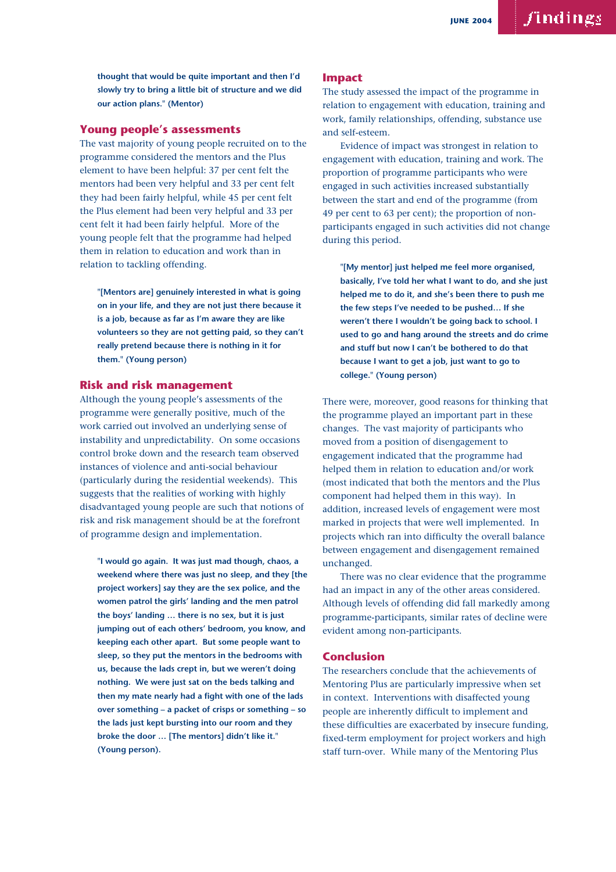**thought that would be quite important and then I'd slowly try to bring a little bit of structure and we did our action plans." (Mentor)**

## **Young people's assessments**

The vast majority of young people recruited on to the programme considered the mentors and the Plus element to have been helpful: 37 per cent felt the mentors had been very helpful and 33 per cent felt they had been fairly helpful, while 45 per cent felt the Plus element had been very helpful and 33 per cent felt it had been fairly helpful. More of the young people felt that the programme had helped them in relation to education and work than in relation to tackling offending.

**"[Mentors are] genuinely interested in what is going on in your life, and they are not just there because it is a job, because as far as I'm aware they are like volunteers so they are not getting paid, so they can't really pretend because there is nothing in it for them." (Young person)**

### **Risk and risk management**

Although the young people's assessments of the programme were generally positive, much of the work carried out involved an underlying sense of instability and unpredictability. On some occasions control broke down and the research team observed instances of violence and anti-social behaviour (particularly during the residential weekends). This suggests that the realities of working with highly disadvantaged young people are such that notions of risk and risk management should be at the forefront of programme design and implementation.

**"I would go again. It was just mad though, chaos, a weekend where there was just no sleep, and they [the project workers] say they are the sex police, and the women patrol the girls' landing and the men patrol the boys' landing … there is no sex, but it is just jumping out of each others' bedroom, you know, and keeping each other apart. But some people want to sleep, so they put the mentors in the bedrooms with us, because the lads crept in, but we weren't doing nothing. We were just sat on the beds talking and then my mate nearly had a fight with one of the lads over something – a packet of crisps or something – so the lads just kept bursting into our room and they broke the door … [The mentors] didn't like it." (Young person).**

### **Impact**

The study assessed the impact of the programme in relation to engagement with education, training and work, family relationships, offending, substance use and self-esteem.

Evidence of impact was strongest in relation to engagement with education, training and work. The proportion of programme participants who were engaged in such activities increased substantially between the start and end of the programme (from 49 per cent to 63 per cent); the proportion of nonparticipants engaged in such activities did not change during this period.

**"[My mentor] just helped me feel more organised, basically, I've told her what I want to do, and she just helped me to do it, and she's been there to push me the few steps I've needed to be pushed… If she weren't there I wouldn't be going back to school. I used to go and hang around the streets and do crime and stuff but now I can't be bothered to do that because I want to get a job, just want to go to college." (Young person)**

There were, moreover, good reasons for thinking that the programme played an important part in these changes. The vast majority of participants who moved from a position of disengagement to engagement indicated that the programme had helped them in relation to education and/or work (most indicated that both the mentors and the Plus component had helped them in this way). In addition, increased levels of engagement were most marked in projects that were well implemented. In projects which ran into difficulty the overall balance between engagement and disengagement remained unchanged.

There was no clear evidence that the programme had an impact in any of the other areas considered. Although levels of offending did fall markedly among programme-participants, similar rates of decline were evident among non-participants.

### **Conclusion**

The researchers conclude that the achievements of Mentoring Plus are particularly impressive when set in context. Interventions with disaffected young people are inherently difficult to implement and these difficulties are exacerbated by insecure funding, fixed-term employment for project workers and high staff turn-over. While many of the Mentoring Plus